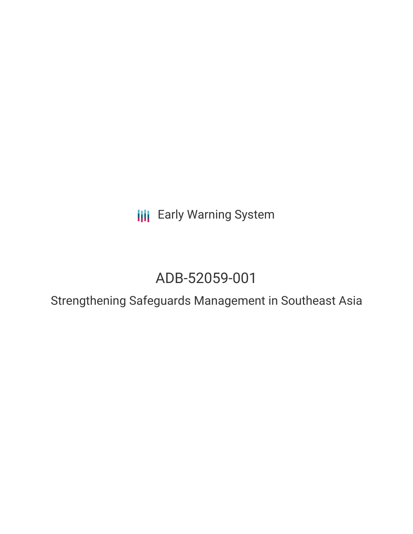**III** Early Warning System

# ADB-52059-001

Strengthening Safeguards Management in Southeast Asia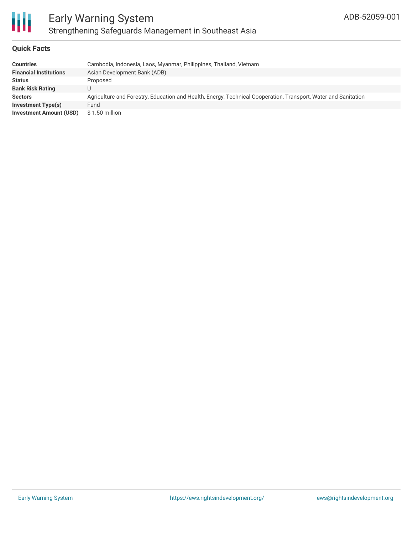

### **Quick Facts**

| <b>Countries</b>               | Cambodia, Indonesia, Laos, Myanmar, Philippines, Thailand, Vietnam                                             |
|--------------------------------|----------------------------------------------------------------------------------------------------------------|
| <b>Financial Institutions</b>  | Asian Development Bank (ADB)                                                                                   |
| <b>Status</b>                  | Proposed                                                                                                       |
| <b>Bank Risk Rating</b>        |                                                                                                                |
| <b>Sectors</b>                 | Agriculture and Forestry, Education and Health, Energy, Technical Cooperation, Transport, Water and Sanitation |
| <b>Investment Type(s)</b>      | Fund                                                                                                           |
| <b>Investment Amount (USD)</b> | \$1.50 million                                                                                                 |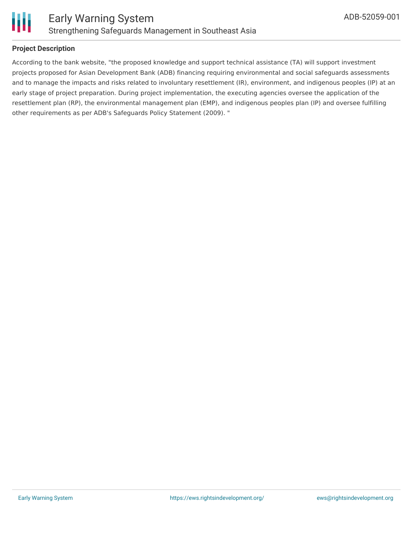

## **Project Description**

According to the bank website, "the proposed knowledge and support technical assistance (TA) will support investment projects proposed for Asian Development Bank (ADB) financing requiring environmental and social safeguards assessments and to manage the impacts and risks related to involuntary resettlement (IR), environment, and indigenous peoples (IP) at an early stage of project preparation. During project implementation, the executing agencies oversee the application of the resettlement plan (RP), the environmental management plan (EMP), and indigenous peoples plan (IP) and oversee fulfilling other requirements as per ADB's Safeguards Policy Statement (2009). "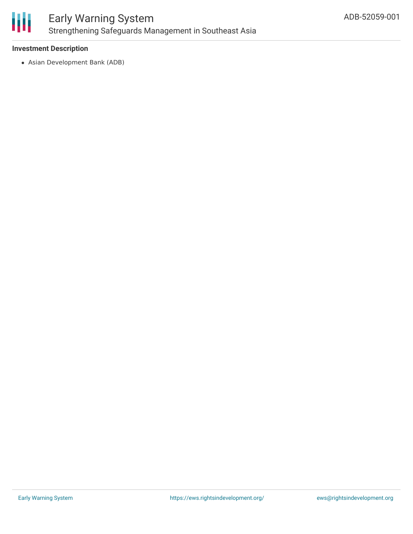

#### **Investment Description**

Asian Development Bank (ADB)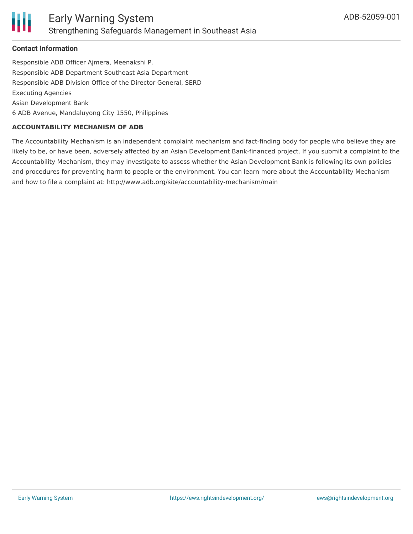### **Contact Information**

Responsible ADB Officer Ajmera, Meenakshi P. Responsible ADB Department Southeast Asia Department Responsible ADB Division Office of the Director General, SERD Executing Agencies Asian Development Bank 6 ADB Avenue, Mandaluyong City 1550, Philippines

#### **ACCOUNTABILITY MECHANISM OF ADB**

The Accountability Mechanism is an independent complaint mechanism and fact-finding body for people who believe they are likely to be, or have been, adversely affected by an Asian Development Bank-financed project. If you submit a complaint to the Accountability Mechanism, they may investigate to assess whether the Asian Development Bank is following its own policies and procedures for preventing harm to people or the environment. You can learn more about the Accountability Mechanism and how to file a complaint at: http://www.adb.org/site/accountability-mechanism/main